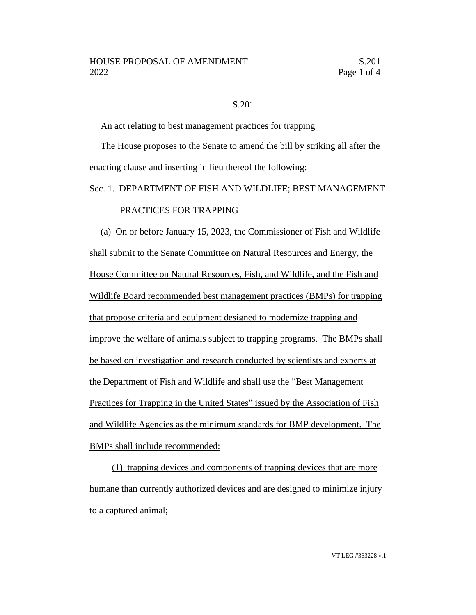### S.201

An act relating to best management practices for trapping

The House proposes to the Senate to amend the bill by striking all after the enacting clause and inserting in lieu thereof the following:

## Sec. 1. DEPARTMENT OF FISH AND WILDLIFE; BEST MANAGEMENT

## PRACTICES FOR TRAPPING

(a) On or before January 15, 2023, the Commissioner of Fish and Wildlife shall submit to the Senate Committee on Natural Resources and Energy, the House Committee on Natural Resources, Fish, and Wildlife, and the Fish and Wildlife Board recommended best management practices (BMPs) for trapping that propose criteria and equipment designed to modernize trapping and improve the welfare of animals subject to trapping programs. The BMPs shall be based on investigation and research conducted by scientists and experts at the Department of Fish and Wildlife and shall use the "Best Management Practices for Trapping in the United States" issued by the Association of Fish and Wildlife Agencies as the minimum standards for BMP development. The BMPs shall include recommended:

(1) trapping devices and components of trapping devices that are more humane than currently authorized devices and are designed to minimize injury to a captured animal;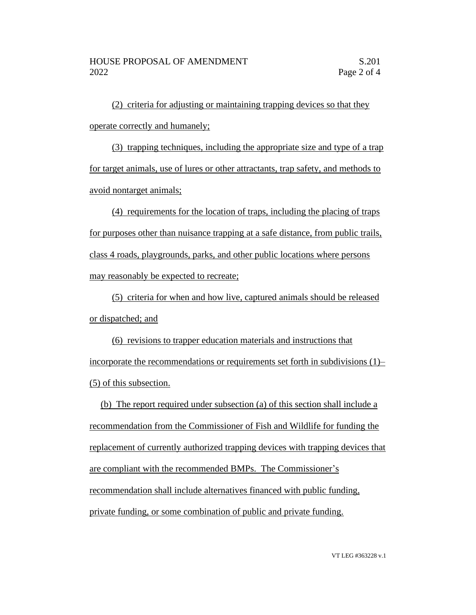(2) criteria for adjusting or maintaining trapping devices so that they operate correctly and humanely;

(3) trapping techniques, including the appropriate size and type of a trap for target animals, use of lures or other attractants, trap safety, and methods to avoid nontarget animals;

(4) requirements for the location of traps, including the placing of traps for purposes other than nuisance trapping at a safe distance, from public trails, class 4 roads, playgrounds, parks, and other public locations where persons may reasonably be expected to recreate;

(5) criteria for when and how live, captured animals should be released or dispatched; and

(6) revisions to trapper education materials and instructions that incorporate the recommendations or requirements set forth in subdivisions (1)– (5) of this subsection.

(b) The report required under subsection (a) of this section shall include a recommendation from the Commissioner of Fish and Wildlife for funding the replacement of currently authorized trapping devices with trapping devices that are compliant with the recommended BMPs. The Commissioner's recommendation shall include alternatives financed with public funding, private funding, or some combination of public and private funding.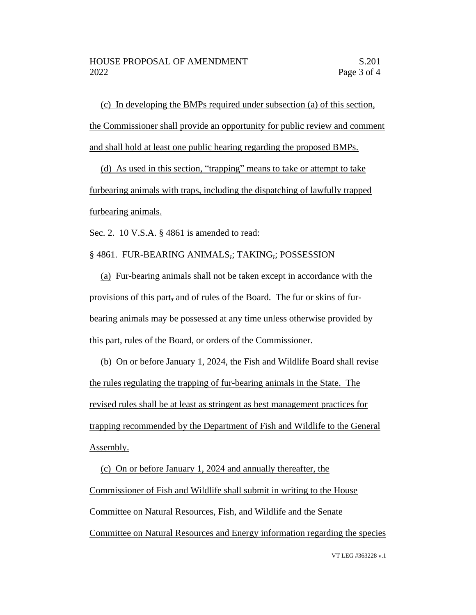(c) In developing the BMPs required under subsection (a) of this section, the Commissioner shall provide an opportunity for public review and comment and shall hold at least one public hearing regarding the proposed BMPs.

(d) As used in this section, "trapping" means to take or attempt to take furbearing animals with traps, including the dispatching of lawfully trapped furbearing animals.

Sec. 2. 10 V.S.A. § 4861 is amended to read:

#### § 4861. FUR-BEARING ANIMALS,; TAKING,; POSSESSION

(a) Fur-bearing animals shall not be taken except in accordance with the provisions of this part, and of rules of the Board. The fur or skins of furbearing animals may be possessed at any time unless otherwise provided by this part, rules of the Board, or orders of the Commissioner.

(b) On or before January 1, 2024, the Fish and Wildlife Board shall revise the rules regulating the trapping of fur-bearing animals in the State. The revised rules shall be at least as stringent as best management practices for trapping recommended by the Department of Fish and Wildlife to the General Assembly.

(c) On or before January 1, 2024 and annually thereafter, the Commissioner of Fish and Wildlife shall submit in writing to the House Committee on Natural Resources, Fish, and Wildlife and the Senate Committee on Natural Resources and Energy information regarding the species